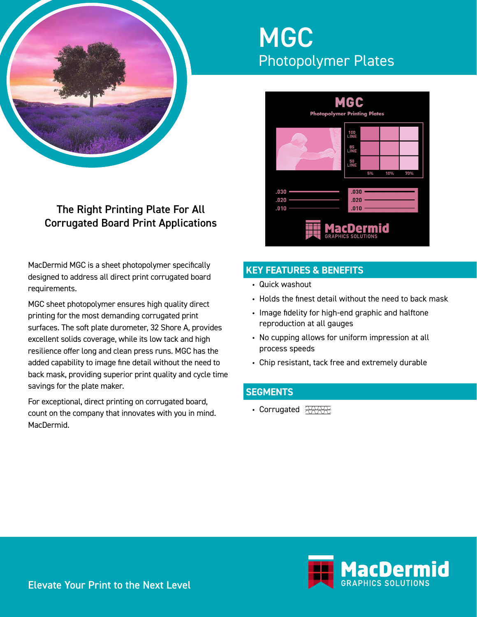

# The Right Printing Plate For All Corrugated Board Print Applications

MacDermid MGC is a sheet photopolymer specifically designed to address all direct print corrugated board requirements.

MGC sheet photopolymer ensures high quality direct printing for the most demanding corrugated print surfaces. The soft plate durometer, 32 Shore A, provides excellent solids coverage, while its low tack and high resilience offer long and clean press runs. MGC has the added capability to image fine detail without the need to back mask, providing superior print quality and cycle time savings for the plate maker.

For exceptional, direct printing on corrugated board, count on the company that innovates with you in mind. MacDermid.

# **MGC** Photopolymer Plates



# **KEY FEATURES & BENEFITS**

- Quick washout
- Holds the finest detail without the need to back mask
- Image fidelity for high-end graphic and halftone reproduction at all gauges
- No cupping allows for uniform impression at all process speeds
- Chip resistant, tack free and extremely durable

### **SEGMENTS**

• Corrugated **WWW**